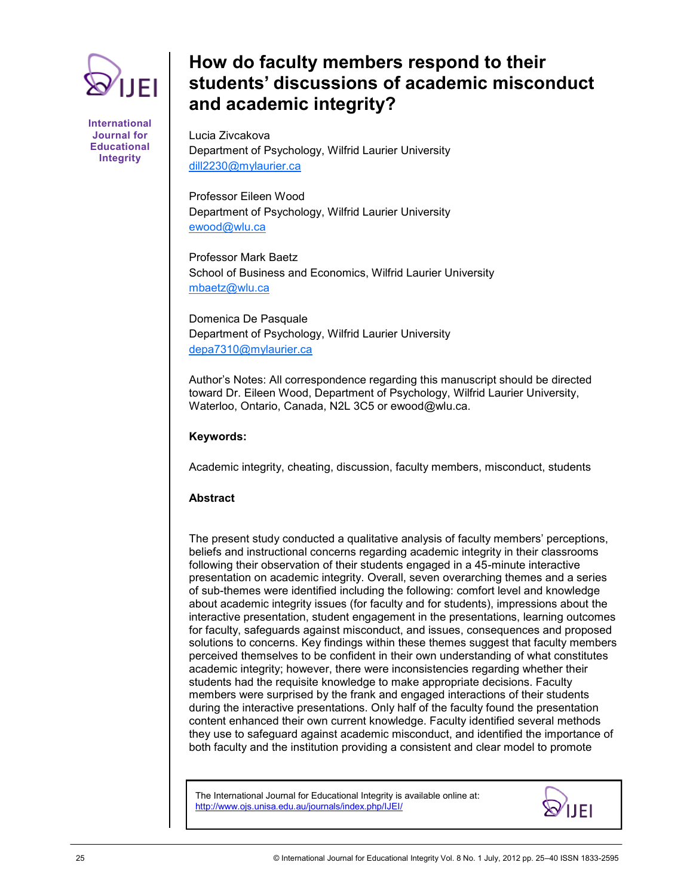

**International Journal for Educational Integrity**

# **How do faculty members respond to their students' discussions of academic misconduct and academic integrity?**

Lucia Zivcakova Department of Psychology, Wilfrid Laurier University [dill2230@mylaurier.ca](mailto:dill2230@mylaurier.ca)

Professor Eileen Wood Department of Psychology, Wilfrid Laurier University [ewood@wlu.ca](mailto:ewood@wlu.ca)

Professor Mark Baetz School of Business and Economics, Wilfrid Laurier University [mbaetz@wlu.ca](mailto:mbaetz@wlu.ca)

Domenica De Pasquale Department of Psychology, Wilfrid Laurier University [depa7310@mylaurier.ca](mailto:depa7310@mylaurier.ca)

Author"s Notes: All correspondence regarding this manuscript should be directed toward Dr. Eileen Wood, Department of Psychology, Wilfrid Laurier University, Waterloo, Ontario, Canada, N2L 3C5 or ewood@wlu.ca.

## **Keywords:**

Academic integrity, cheating, discussion, faculty members, misconduct, students

# **Abstract**

The present study conducted a qualitative analysis of faculty members" perceptions, beliefs and instructional concerns regarding academic integrity in their classrooms following their observation of their students engaged in a 45-minute interactive presentation on academic integrity. Overall, seven overarching themes and a series of sub-themes were identified including the following: comfort level and knowledge about academic integrity issues (for faculty and for students), impressions about the interactive presentation, student engagement in the presentations, learning outcomes for faculty, safeguards against misconduct, and issues, consequences and proposed solutions to concerns. Key findings within these themes suggest that faculty members perceived themselves to be confident in their own understanding of what constitutes academic integrity; however, there were inconsistencies regarding whether their students had the requisite knowledge to make appropriate decisions. Faculty members were surprised by the frank and engaged interactions of their students during the interactive presentations. Only half of the faculty found the presentation content enhanced their own current knowledge. Faculty identified several methods they use to safeguard against academic misconduct, and identified the importance of both faculty and the institution providing a consistent and clear model to promote

The International Journal for Educational Integrity is available online at: http://www.ojs.unisa.edu.au/journals/index.php/IJEI/

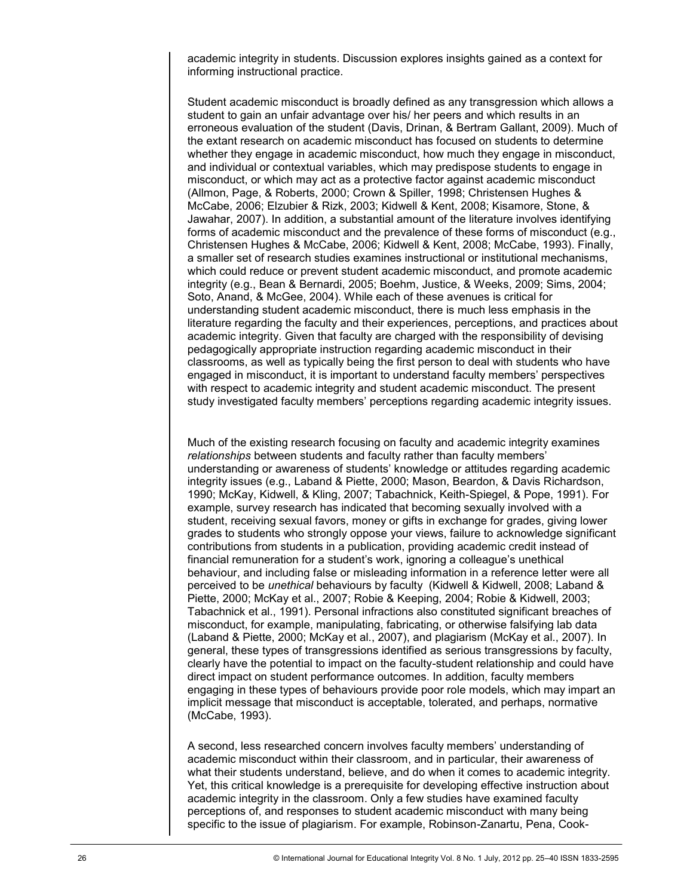academic integrity in students. Discussion explores insights gained as a context for informing instructional practice.

Student academic misconduct is broadly defined as any transgression which allows a student to gain an unfair advantage over his/ her peers and which results in an erroneous evaluation of the student (Davis, Drinan, & Bertram Gallant, 2009). Much of the extant research on academic misconduct has focused on students to determine whether they engage in academic misconduct, how much they engage in misconduct, and individual or contextual variables, which may predispose students to engage in misconduct, or which may act as a protective factor against academic misconduct (Allmon, Page, & Roberts, 2000; Crown & Spiller, 1998; Christensen Hughes & McCabe, 2006; Elzubier & Rizk, 2003; Kidwell & Kent, 2008; Kisamore, Stone, & Jawahar, 2007). In addition, a substantial amount of the literature involves identifying forms of academic misconduct and the prevalence of these forms of misconduct (e.g., Christensen Hughes & McCabe, 2006; Kidwell & Kent, 2008; McCabe, 1993). Finally, a smaller set of research studies examines instructional or institutional mechanisms, which could reduce or prevent student academic misconduct, and promote academic integrity (e.g., Bean & Bernardi, 2005; Boehm, Justice, & Weeks, 2009; Sims, 2004; Soto, Anand, & McGee, 2004). While each of these avenues is critical for understanding student academic misconduct, there is much less emphasis in the literature regarding the faculty and their experiences, perceptions, and practices about academic integrity. Given that faculty are charged with the responsibility of devising pedagogically appropriate instruction regarding academic misconduct in their classrooms, as well as typically being the first person to deal with students who have engaged in misconduct, it is important to understand faculty members" perspectives with respect to academic integrity and student academic misconduct. The present study investigated faculty members" perceptions regarding academic integrity issues.

Much of the existing research focusing on faculty and academic integrity examines *relationships* between students and faculty rather than faculty members" understanding or awareness of students" knowledge or attitudes regarding academic integrity issues (e.g., Laband & Piette, 2000; Mason, Beardon, & Davis Richardson, 1990; McKay, Kidwell, & Kling, 2007; Tabachnick, Keith-Spiegel, & Pope, 1991). For example, survey research has indicated that becoming sexually involved with a student, receiving sexual favors, money or gifts in exchange for grades, giving lower grades to students who strongly oppose your views, failure to acknowledge significant contributions from students in a publication, providing academic credit instead of financial remuneration for a student's work, ignoring a colleague's unethical behaviour, and including false or misleading information in a reference letter were all perceived to be *unethical* behaviours by faculty (Kidwell & Kidwell, 2008; Laband & Piette, 2000; McKay et al., 2007; Robie & Keeping, 2004; Robie & Kidwell, 2003; Tabachnick et al., 1991). Personal infractions also constituted significant breaches of misconduct, for example, manipulating, fabricating, or otherwise falsifying lab data (Laband & Piette, 2000; McKay et al., 2007), and plagiarism (McKay et al., 2007). In general, these types of transgressions identified as serious transgressions by faculty, clearly have the potential to impact on the faculty-student relationship and could have direct impact on student performance outcomes. In addition, faculty members engaging in these types of behaviours provide poor role models, which may impart an implicit message that misconduct is acceptable, tolerated, and perhaps, normative (McCabe, 1993).

A second, less researched concern involves faculty members" understanding of academic misconduct within their classroom, and in particular, their awareness of what their students understand, believe, and do when it comes to academic integrity. Yet, this critical knowledge is a prerequisite for developing effective instruction about academic integrity in the classroom. Only a few studies have examined faculty perceptions of, and responses to student academic misconduct with many being specific to the issue of plagiarism. For example, Robinson-Zanartu, Pena, Cook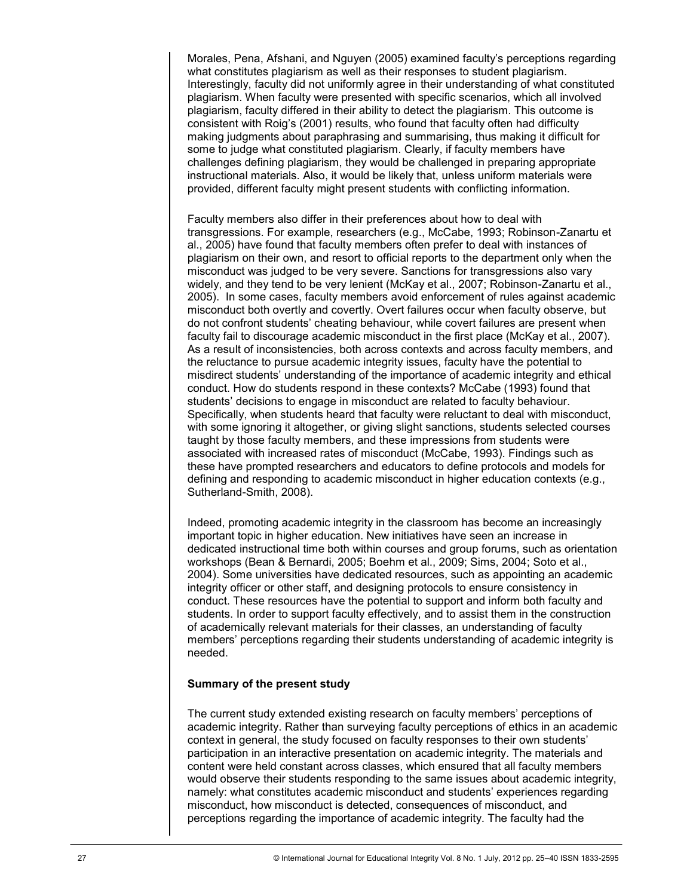Morales, Pena, Afshani, and Nguyen (2005) examined faculty"s perceptions regarding what constitutes plagiarism as well as their responses to student plagiarism. Interestingly, faculty did not uniformly agree in their understanding of what constituted plagiarism. When faculty were presented with specific scenarios, which all involved plagiarism, faculty differed in their ability to detect the plagiarism. This outcome is consistent with Roig"s (2001) results, who found that faculty often had difficulty making judgments about paraphrasing and summarising, thus making it difficult for some to judge what constituted plagiarism. Clearly, if faculty members have challenges defining plagiarism, they would be challenged in preparing appropriate instructional materials. Also, it would be likely that, unless uniform materials were provided, different faculty might present students with conflicting information.

Faculty members also differ in their preferences about how to deal with transgressions. For example, researchers (e.g., McCabe, 1993; Robinson-Zanartu et al., 2005) have found that faculty members often prefer to deal with instances of plagiarism on their own, and resort to official reports to the department only when the misconduct was judged to be very severe. Sanctions for transgressions also vary widely, and they tend to be very lenient (McKay et al., 2007; Robinson-Zanartu et al., 2005). In some cases, faculty members avoid enforcement of rules against academic misconduct both overtly and covertly. Overt failures occur when faculty observe, but do not confront students" cheating behaviour, while covert failures are present when faculty fail to discourage academic misconduct in the first place (McKay et al., 2007). As a result of inconsistencies, both across contexts and across faculty members, and the reluctance to pursue academic integrity issues, faculty have the potential to misdirect students" understanding of the importance of academic integrity and ethical conduct. How do students respond in these contexts? McCabe (1993) found that students' decisions to engage in misconduct are related to faculty behaviour. Specifically, when students heard that faculty were reluctant to deal with misconduct, with some ignoring it altogether, or giving slight sanctions, students selected courses taught by those faculty members, and these impressions from students were associated with increased rates of misconduct (McCabe, 1993). Findings such as these have prompted researchers and educators to define protocols and models for defining and responding to academic misconduct in higher education contexts (e.g., Sutherland-Smith, 2008).

Indeed, promoting academic integrity in the classroom has become an increasingly important topic in higher education. New initiatives have seen an increase in dedicated instructional time both within courses and group forums, such as orientation workshops (Bean & Bernardi, 2005; Boehm et al., 2009; Sims, 2004; Soto et al., 2004). Some universities have dedicated resources, such as appointing an academic integrity officer or other staff, and designing protocols to ensure consistency in conduct. These resources have the potential to support and inform both faculty and students. In order to support faculty effectively, and to assist them in the construction of academically relevant materials for their classes, an understanding of faculty members" perceptions regarding their students understanding of academic integrity is needed.

#### **Summary of the present study**

The current study extended existing research on faculty members" perceptions of academic integrity. Rather than surveying faculty perceptions of ethics in an academic context in general, the study focused on faculty responses to their own students" participation in an interactive presentation on academic integrity. The materials and content were held constant across classes, which ensured that all faculty members would observe their students responding to the same issues about academic integrity, namely: what constitutes academic misconduct and students" experiences regarding misconduct, how misconduct is detected, consequences of misconduct, and perceptions regarding the importance of academic integrity. The faculty had the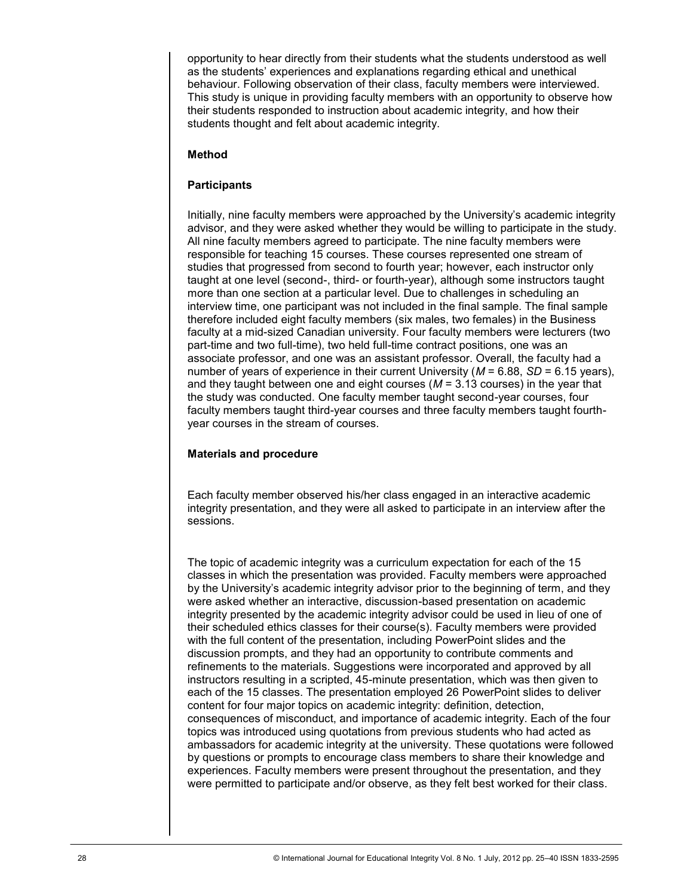opportunity to hear directly from their students what the students understood as well as the students" experiences and explanations regarding ethical and unethical behaviour. Following observation of their class, faculty members were interviewed. This study is unique in providing faculty members with an opportunity to observe how their students responded to instruction about academic integrity, and how their students thought and felt about academic integrity.

# **Method**

## **Participants**

Initially, nine faculty members were approached by the University"s academic integrity advisor, and they were asked whether they would be willing to participate in the study. All nine faculty members agreed to participate. The nine faculty members were responsible for teaching 15 courses. These courses represented one stream of studies that progressed from second to fourth year; however, each instructor only taught at one level (second-, third- or fourth-year), although some instructors taught more than one section at a particular level. Due to challenges in scheduling an interview time, one participant was not included in the final sample. The final sample therefore included eight faculty members (six males, two females) in the Business faculty at a mid-sized Canadian university. Four faculty members were lecturers (two part-time and two full-time), two held full-time contract positions, one was an associate professor, and one was an assistant professor. Overall, the faculty had a number of years of experience in their current University ( $M = 6.88$ , *SD* = 6.15 years), and they taught between one and eight courses  $(M = 3.13$  courses) in the year that the study was conducted. One faculty member taught second-year courses, four faculty members taught third-year courses and three faculty members taught fourthyear courses in the stream of courses.

## **Materials and procedure**

Each faculty member observed his/her class engaged in an interactive academic integrity presentation, and they were all asked to participate in an interview after the sessions.

The topic of academic integrity was a curriculum expectation for each of the 15 classes in which the presentation was provided. Faculty members were approached by the University"s academic integrity advisor prior to the beginning of term, and they were asked whether an interactive, discussion-based presentation on academic integrity presented by the academic integrity advisor could be used in lieu of one of their scheduled ethics classes for their course(s). Faculty members were provided with the full content of the presentation, including PowerPoint slides and the discussion prompts, and they had an opportunity to contribute comments and refinements to the materials. Suggestions were incorporated and approved by all instructors resulting in a scripted, 45-minute presentation, which was then given to each of the 15 classes. The presentation employed 26 PowerPoint slides to deliver content for four major topics on academic integrity: definition, detection, consequences of misconduct, and importance of academic integrity. Each of the four topics was introduced using quotations from previous students who had acted as ambassadors for academic integrity at the university. These quotations were followed by questions or prompts to encourage class members to share their knowledge and experiences. Faculty members were present throughout the presentation, and they were permitted to participate and/or observe, as they felt best worked for their class.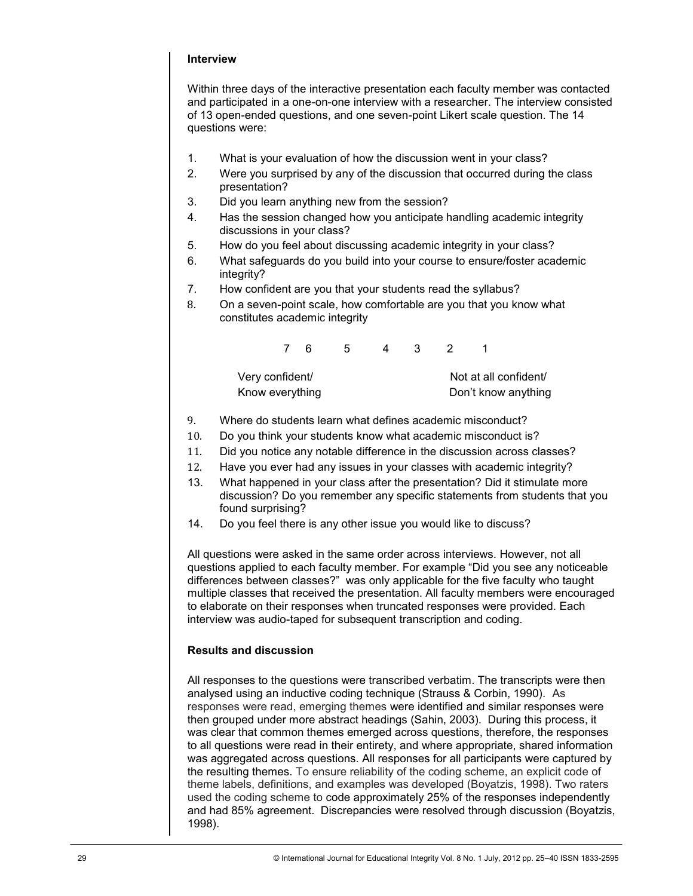# **Interview**

Within three days of the interactive presentation each faculty member was contacted and participated in a one-on-one interview with a researcher. The interview consisted of 13 open-ended questions, and one seven-point Likert scale question. The 14 questions were:

- 1. What is your evaluation of how the discussion went in your class?
- 2. Were you surprised by any of the discussion that occurred during the class presentation?
- 3. Did you learn anything new from the session?
- 4. Has the session changed how you anticipate handling academic integrity discussions in your class?
- 5. How do you feel about discussing academic integrity in your class?
- 6. What safeguards do you build into your course to ensure/foster academic integrity?
- 7. How confident are you that your students read the syllabus?
- 8. On a seven-point scale, how comfortable are you that you know what constitutes academic integrity

| Very confident/ | Not at all confident/ |
|-----------------|-----------------------|
| Know everything | Don't know anything   |

7 6 5 4 3 2 1

- 9. Where do students learn what defines academic misconduct?
- 10. Do you think your students know what academic misconduct is?
- 11. Did you notice any notable difference in the discussion across classes?
- 12. Have you ever had any issues in your classes with academic integrity?
- 13. What happened in your class after the presentation? Did it stimulate more discussion? Do you remember any specific statements from students that you found surprising?
- 14. Do you feel there is any other issue you would like to discuss?

All questions were asked in the same order across interviews. However, not all questions applied to each faculty member. For example "Did you see any noticeable differences between classes?" was only applicable for the five faculty who taught multiple classes that received the presentation. All faculty members were encouraged to elaborate on their responses when truncated responses were provided. Each interview was audio-taped for subsequent transcription and coding.

# **Results and discussion**

All responses to the questions were transcribed verbatim. The transcripts were then analysed using an inductive coding technique (Strauss & Corbin, 1990). As responses were read, emerging themes were identified and similar responses were then grouped under more abstract headings (Sahin, 2003). During this process, it was clear that common themes emerged across questions, therefore, the responses to all questions were read in their entirety, and where appropriate, shared information was aggregated across questions. All responses for all participants were captured by the resulting themes. To ensure reliability of the coding scheme, an explicit code of theme labels, definitions, and examples was developed (Boyatzis, 1998). Two raters used the coding scheme to code approximately 25% of the responses independently and had 85% agreement. Discrepancies were resolved through discussion (Boyatzis, 1998).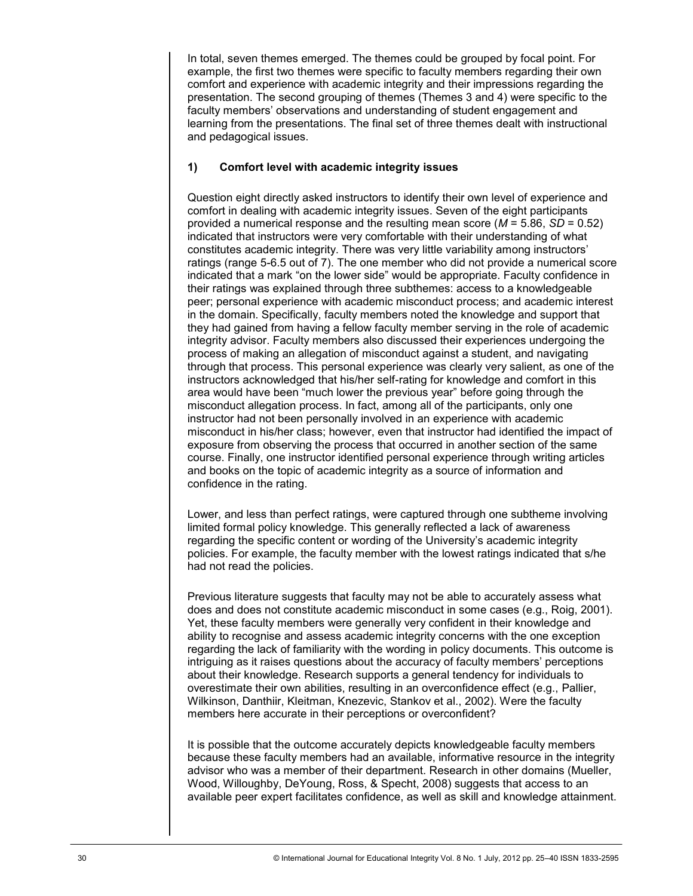In total, seven themes emerged. The themes could be grouped by focal point. For example, the first two themes were specific to faculty members regarding their own comfort and experience with academic integrity and their impressions regarding the presentation. The second grouping of themes (Themes 3 and 4) were specific to the faculty members" observations and understanding of student engagement and learning from the presentations. The final set of three themes dealt with instructional and pedagogical issues.

## **1) Comfort level with academic integrity issues**

Question eight directly asked instructors to identify their own level of experience and comfort in dealing with academic integrity issues. Seven of the eight participants provided a numerical response and the resulting mean score (*M* = 5.86, *SD* = 0.52) indicated that instructors were very comfortable with their understanding of what constitutes academic integrity. There was very little variability among instructors" ratings (range 5-6.5 out of 7). The one member who did not provide a numerical score indicated that a mark "on the lower side" would be appropriate. Faculty confidence in their ratings was explained through three subthemes: access to a knowledgeable peer; personal experience with academic misconduct process; and academic interest in the domain. Specifically, faculty members noted the knowledge and support that they had gained from having a fellow faculty member serving in the role of academic integrity advisor. Faculty members also discussed their experiences undergoing the process of making an allegation of misconduct against a student, and navigating through that process. This personal experience was clearly very salient, as one of the instructors acknowledged that his/her self-rating for knowledge and comfort in this area would have been "much lower the previous year" before going through the misconduct allegation process. In fact, among all of the participants, only one instructor had not been personally involved in an experience with academic misconduct in his/her class; however, even that instructor had identified the impact of exposure from observing the process that occurred in another section of the same course. Finally, one instructor identified personal experience through writing articles and books on the topic of academic integrity as a source of information and confidence in the rating.

Lower, and less than perfect ratings, were captured through one subtheme involving limited formal policy knowledge. This generally reflected a lack of awareness regarding the specific content or wording of the University"s academic integrity policies. For example, the faculty member with the lowest ratings indicated that s/he had not read the policies.

Previous literature suggests that faculty may not be able to accurately assess what does and does not constitute academic misconduct in some cases (e.g., Roig, 2001). Yet, these faculty members were generally very confident in their knowledge and ability to recognise and assess academic integrity concerns with the one exception regarding the lack of familiarity with the wording in policy documents. This outcome is intriguing as it raises questions about the accuracy of faculty members" perceptions about their knowledge. Research supports a general tendency for individuals to overestimate their own abilities, resulting in an overconfidence effect (e.g., [Pallier,](http://www.tandfonline.com/action/doSearch?action=runSearch&type=advanced&result=true&prevSearch=%2Bauthorsfield%3A%28Pallier%2C+Gerry%29) [Wilkinson,](http://www.tandfonline.com/action/doSearch?action=runSearch&type=advanced&result=true&prevSearch=%2Bauthorsfield%3A%28Wilkinson%2C+Rebecca%29) [Danthiir,](http://www.tandfonline.com/action/doSearch?action=runSearch&type=advanced&result=true&prevSearch=%2Bauthorsfield%3A%28Danthiir%2C+Vanessa%29) [Kleitman,](http://www.tandfonline.com/action/doSearch?action=runSearch&type=advanced&result=true&prevSearch=%2Bauthorsfield%3A%28Kleitman%2C+Sabina%29) [Knezevic,](http://www.tandfonline.com/action/doSearch?action=runSearch&type=advanced&result=true&prevSearch=%2Bauthorsfield%3A%28Knezevic%2C+Goran%29) [Stankov](http://www.tandfonline.com/action/doSearch?action=runSearch&type=advanced&result=true&prevSearch=%2Bauthorsfield%3A%28Stankov%2C+Lazar%29) et al., 2002). Were the faculty members here accurate in their perceptions or overconfident?

It is possible that the outcome accurately depicts knowledgeable faculty members because these faculty members had an available, informative resource in the integrity advisor who was a member of their department. Research in other domains (Mueller, Wood, Willoughby, DeYoung, Ross, & Specht, 2008) suggests that access to an available peer expert facilitates confidence, as well as skill and knowledge attainment.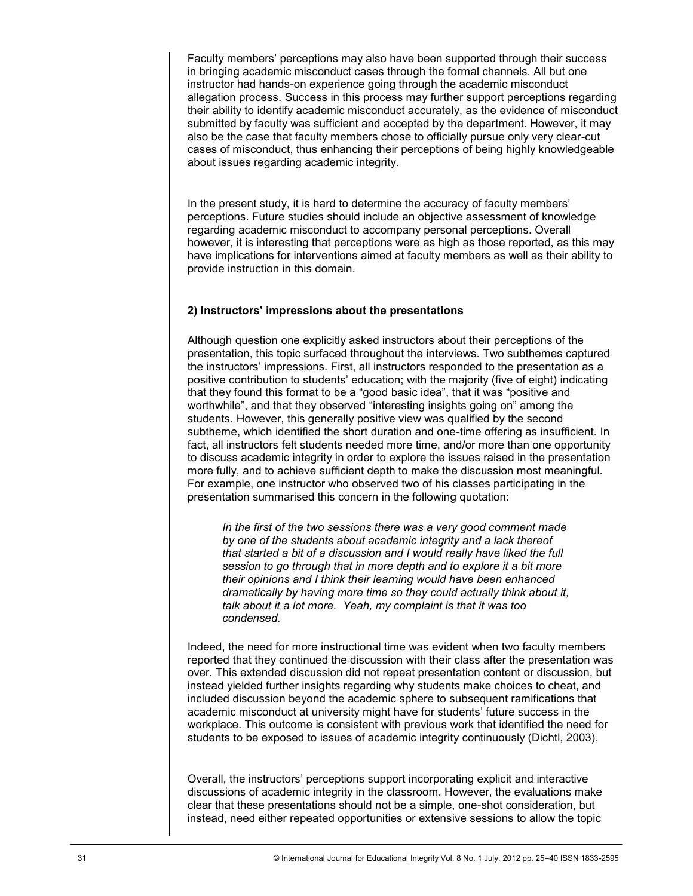Faculty members" perceptions may also have been supported through their success in bringing academic misconduct cases through the formal channels. All but one instructor had hands-on experience going through the academic misconduct allegation process. Success in this process may further support perceptions regarding their ability to identify academic misconduct accurately, as the evidence of misconduct submitted by faculty was sufficient and accepted by the department. However, it may also be the case that faculty members chose to officially pursue only very clear-cut cases of misconduct, thus enhancing their perceptions of being highly knowledgeable about issues regarding academic integrity.

In the present study, it is hard to determine the accuracy of faculty members' perceptions. Future studies should include an objective assessment of knowledge regarding academic misconduct to accompany personal perceptions. Overall however, it is interesting that perceptions were as high as those reported, as this may have implications for interventions aimed at faculty members as well as their ability to provide instruction in this domain.

# **2) Instructors' impressions about the presentations**

Although question one explicitly asked instructors about their perceptions of the presentation, this topic surfaced throughout the interviews. Two subthemes captured the instructors" impressions. First, all instructors responded to the presentation as a positive contribution to students" education; with the majority (five of eight) indicating that they found this format to be a "good basic idea", that it was "positive and worthwhile", and that they observed "interesting insights going on" among the students. However, this generally positive view was qualified by the second subtheme, which identified the short duration and one-time offering as insufficient. In fact, all instructors felt students needed more time, and/or more than one opportunity to discuss academic integrity in order to explore the issues raised in the presentation more fully, and to achieve sufficient depth to make the discussion most meaningful. For example, one instructor who observed two of his classes participating in the presentation summarised this concern in the following quotation:

*In the first of the two sessions there was a very good comment made by one of the students about academic integrity and a lack thereof that started a bit of a discussion and I would really have liked the full session to go through that in more depth and to explore it a bit more their opinions and I think their learning would have been enhanced dramatically by having more time so they could actually think about it, talk about it a lot more. Yeah, my complaint is that it was too condensed.*

Indeed, the need for more instructional time was evident when two faculty members reported that they continued the discussion with their class after the presentation was over. This extended discussion did not repeat presentation content or discussion, but instead yielded further insights regarding why students make choices to cheat, and included discussion beyond the academic sphere to subsequent ramifications that academic misconduct at university might have for students" future success in the workplace. This outcome is consistent with previous work that identified the need for students to be exposed to issues of academic integrity continuously (Dichtl, 2003).

Overall, the instructors" perceptions support incorporating explicit and interactive discussions of academic integrity in the classroom. However, the evaluations make clear that these presentations should not be a simple, one-shot consideration, but instead, need either repeated opportunities or extensive sessions to allow the topic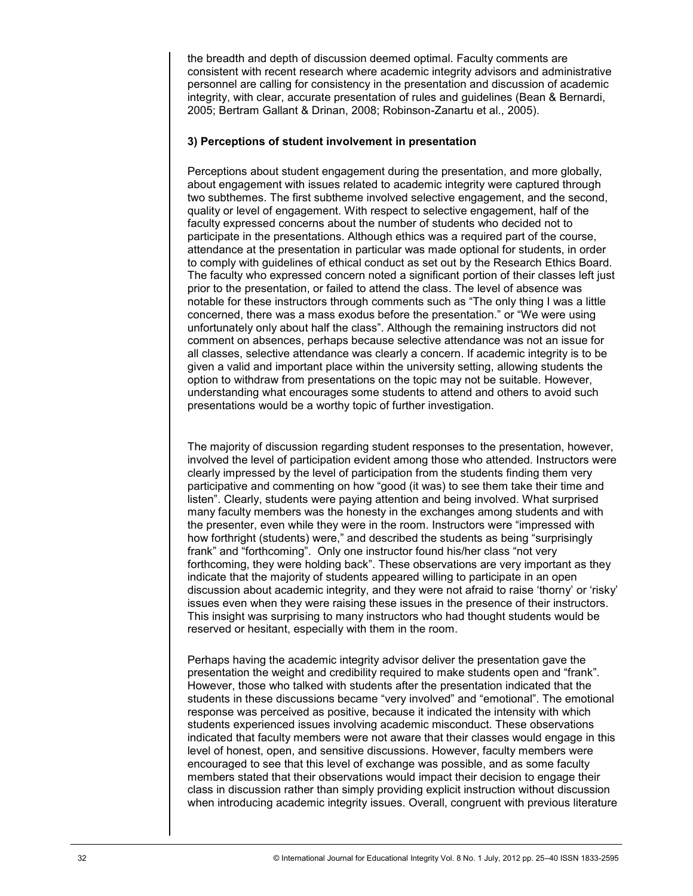the breadth and depth of discussion deemed optimal. Faculty comments are consistent with recent research where academic integrity advisors and administrative personnel are calling for consistency in the presentation and discussion of academic integrity, with clear, accurate presentation of rules and guidelines (Bean & Bernardi, 2005; Bertram Gallant & Drinan, 2008; Robinson-Zanartu et al., 2005).

#### **3) Perceptions of student involvement in presentation**

Perceptions about student engagement during the presentation, and more globally, about engagement with issues related to academic integrity were captured through two subthemes. The first subtheme involved selective engagement, and the second, quality or level of engagement. With respect to selective engagement, half of the faculty expressed concerns about the number of students who decided not to participate in the presentations. Although ethics was a required part of the course, attendance at the presentation in particular was made optional for students, in order to comply with guidelines of ethical conduct as set out by the Research Ethics Board. The faculty who expressed concern noted a significant portion of their classes left just prior to the presentation, or failed to attend the class. The level of absence was notable for these instructors through comments such as "The only thing I was a little concerned, there was a mass exodus before the presentation." or "We were using unfortunately only about half the class". Although the remaining instructors did not comment on absences, perhaps because selective attendance was not an issue for all classes, selective attendance was clearly a concern. If academic integrity is to be given a valid and important place within the university setting, allowing students the option to withdraw from presentations on the topic may not be suitable. However, understanding what encourages some students to attend and others to avoid such presentations would be a worthy topic of further investigation.

The majority of discussion regarding student responses to the presentation, however, involved the level of participation evident among those who attended. Instructors were clearly impressed by the level of participation from the students finding them very participative and commenting on how "good (it was) to see them take their time and listen". Clearly, students were paying attention and being involved. What surprised many faculty members was the honesty in the exchanges among students and with the presenter, even while they were in the room. Instructors were "impressed with how forthright (students) were," and described the students as being "surprisingly frank" and "forthcoming". Only one instructor found his/her class "not very forthcoming, they were holding back". These observations are very important as they indicate that the majority of students appeared willing to participate in an open discussion about academic integrity, and they were not afraid to raise "thorny" or "risky" issues even when they were raising these issues in the presence of their instructors. This insight was surprising to many instructors who had thought students would be reserved or hesitant, especially with them in the room.

Perhaps having the academic integrity advisor deliver the presentation gave the presentation the weight and credibility required to make students open and "frank". However, those who talked with students after the presentation indicated that the students in these discussions became "very involved" and "emotional". The emotional response was perceived as positive, because it indicated the intensity with which students experienced issues involving academic misconduct. These observations indicated that faculty members were not aware that their classes would engage in this level of honest, open, and sensitive discussions. However, faculty members were encouraged to see that this level of exchange was possible, and as some faculty members stated that their observations would impact their decision to engage their class in discussion rather than simply providing explicit instruction without discussion when introducing academic integrity issues. Overall, congruent with previous literature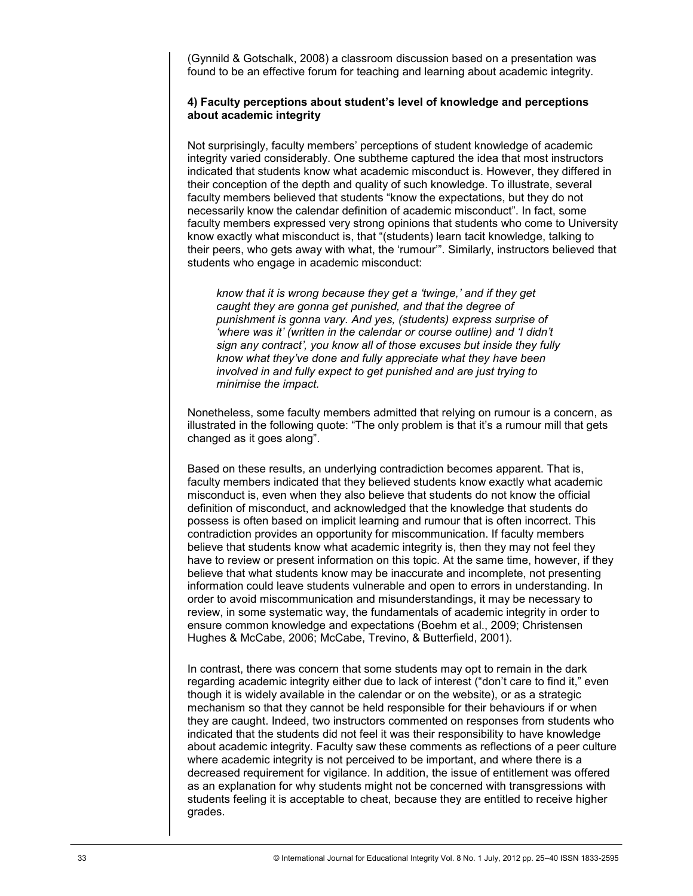(Gynnild & Gotschalk, 2008) a classroom discussion based on a presentation was found to be an effective forum for teaching and learning about academic integrity.

#### **4) Faculty perceptions about student's level of knowledge and perceptions about academic integrity**

Not surprisingly, faculty members" perceptions of student knowledge of academic integrity varied considerably. One subtheme captured the idea that most instructors indicated that students know what academic misconduct is. However, they differed in their conception of the depth and quality of such knowledge. To illustrate, several faculty members believed that students "know the expectations, but they do not necessarily know the calendar definition of academic misconduct". In fact, some faculty members expressed very strong opinions that students who come to University know exactly what misconduct is, that "(students) learn tacit knowledge, talking to their peers, who gets away with what, the "rumour"". Similarly, instructors believed that students who engage in academic misconduct:

*know that it is wrong because they get a 'twinge,' and if they get caught they are gonna get punished, and that the degree of punishment is gonna vary. And yes, (students) express surprise of 'where was it' (written in the calendar or course outline) and 'I didn't sign any contract', you know all of those excuses but inside they fully know what they've done and fully appreciate what they have been involved in and fully expect to get punished and are just trying to minimise the impact.*

Nonetheless, some faculty members admitted that relying on rumour is a concern, as illustrated in the following quote: "The only problem is that it's a rumour mill that gets changed as it goes along".

Based on these results, an underlying contradiction becomes apparent. That is, faculty members indicated that they believed students know exactly what academic misconduct is, even when they also believe that students do not know the official definition of misconduct, and acknowledged that the knowledge that students do possess is often based on implicit learning and rumour that is often incorrect. This contradiction provides an opportunity for miscommunication. If faculty members believe that students know what academic integrity is, then they may not feel they have to review or present information on this topic. At the same time, however, if they believe that what students know may be inaccurate and incomplete, not presenting information could leave students vulnerable and open to errors in understanding. In order to avoid miscommunication and misunderstandings, it may be necessary to review, in some systematic way, the fundamentals of academic integrity in order to ensure common knowledge and expectations (Boehm et al., 2009; Christensen Hughes & McCabe, 2006; McCabe, Trevino, & Butterfield, 2001).

In contrast, there was concern that some students may opt to remain in the dark regarding academic integrity either due to lack of interest ("don"t care to find it," even though it is widely available in the calendar or on the website), or as a strategic mechanism so that they cannot be held responsible for their behaviours if or when they are caught. Indeed, two instructors commented on responses from students who indicated that the students did not feel it was their responsibility to have knowledge about academic integrity. Faculty saw these comments as reflections of a peer culture where academic integrity is not perceived to be important, and where there is a decreased requirement for vigilance. In addition, the issue of entitlement was offered as an explanation for why students might not be concerned with transgressions with students feeling it is acceptable to cheat, because they are entitled to receive higher grades.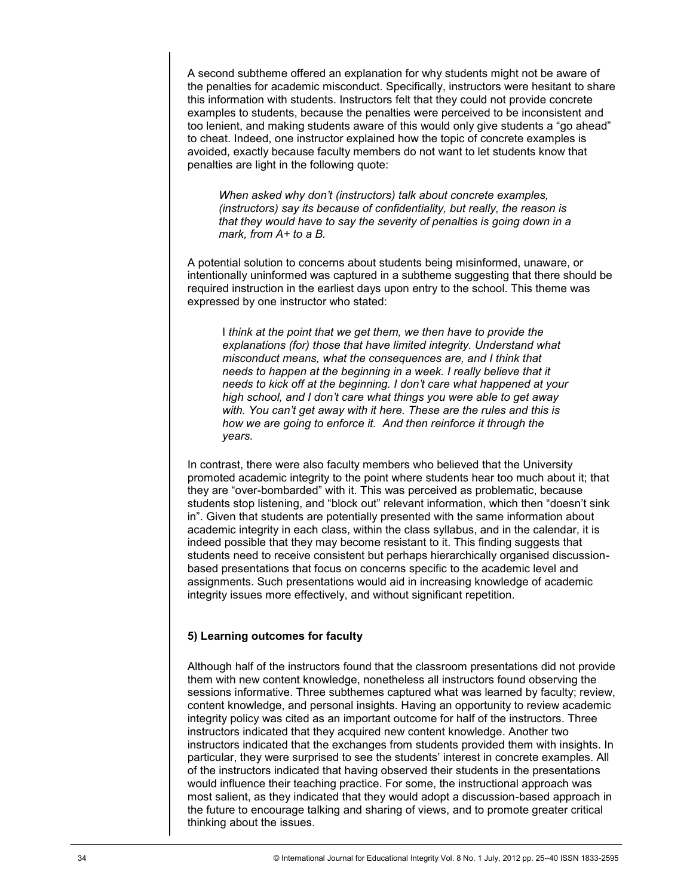A second subtheme offered an explanation for why students might not be aware of the penalties for academic misconduct. Specifically, instructors were hesitant to share this information with students. Instructors felt that they could not provide concrete examples to students, because the penalties were perceived to be inconsistent and too lenient, and making students aware of this would only give students a "go ahead" to cheat. Indeed, one instructor explained how the topic of concrete examples is avoided, exactly because faculty members do not want to let students know that penalties are light in the following quote:

*When asked why don't (instructors) talk about concrete examples, (instructors) say its because of confidentiality, but really, the reason is that they would have to say the severity of penalties is going down in a mark, from A+ to a B.*

A potential solution to concerns about students being misinformed, unaware, or intentionally uninformed was captured in a subtheme suggesting that there should be required instruction in the earliest days upon entry to the school. This theme was expressed by one instructor who stated:

I *think at the point that we get them, we then have to provide the explanations (for) those that have limited integrity. Understand what misconduct means, what the consequences are, and I think that needs to happen at the beginning in a week. I really believe that it needs to kick off at the beginning. I don't care what happened at your high school, and I don't care what things you were able to get away with. You can't get away with it here. These are the rules and this is how we are going to enforce it. And then reinforce it through the years.*

In contrast, there were also faculty members who believed that the University promoted academic integrity to the point where students hear too much about it; that they are "over-bombarded" with it. This was perceived as problematic, because students stop listening, and "block out" relevant information, which then "doesn"t sink in". Given that students are potentially presented with the same information about academic integrity in each class, within the class syllabus, and in the calendar, it is indeed possible that they may become resistant to it. This finding suggests that students need to receive consistent but perhaps hierarchically organised discussionbased presentations that focus on concerns specific to the academic level and assignments. Such presentations would aid in increasing knowledge of academic integrity issues more effectively, and without significant repetition.

#### **5) Learning outcomes for faculty**

Although half of the instructors found that the classroom presentations did not provide them with new content knowledge, nonetheless all instructors found observing the sessions informative. Three subthemes captured what was learned by faculty; review, content knowledge, and personal insights. Having an opportunity to review academic integrity policy was cited as an important outcome for half of the instructors. Three instructors indicated that they acquired new content knowledge. Another two instructors indicated that the exchanges from students provided them with insights. In particular, they were surprised to see the students" interest in concrete examples. All of the instructors indicated that having observed their students in the presentations would influence their teaching practice. For some, the instructional approach was most salient, as they indicated that they would adopt a discussion-based approach in the future to encourage talking and sharing of views, and to promote greater critical thinking about the issues.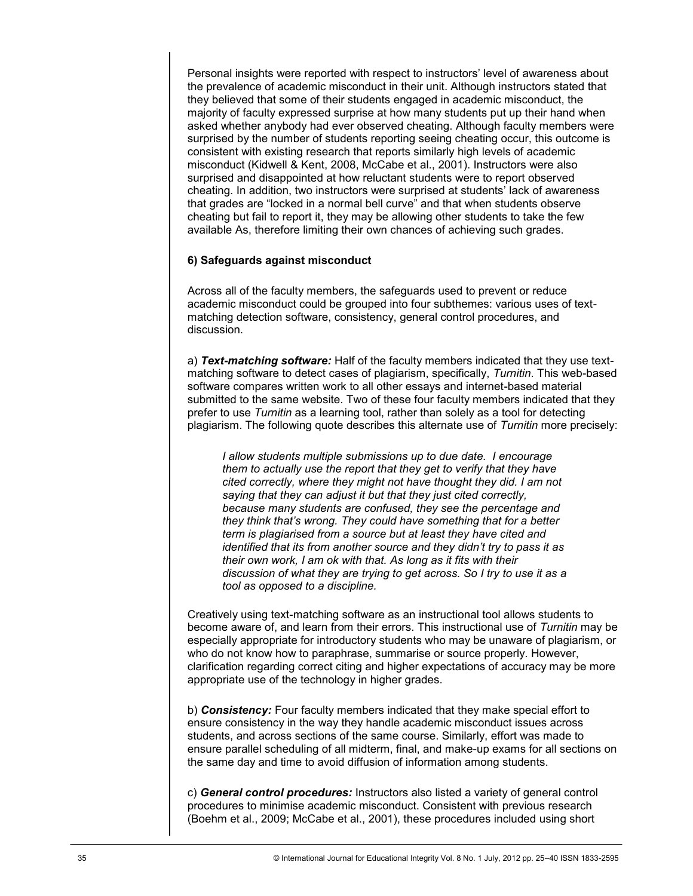Personal insights were reported with respect to instructors" level of awareness about the prevalence of academic misconduct in their unit. Although instructors stated that they believed that some of their students engaged in academic misconduct, the majority of faculty expressed surprise at how many students put up their hand when asked whether anybody had ever observed cheating. Although faculty members were surprised by the number of students reporting seeing cheating occur, this outcome is consistent with existing research that reports similarly high levels of academic misconduct (Kidwell & Kent, 2008, McCabe et al., 2001). Instructors were also surprised and disappointed at how reluctant students were to report observed cheating. In addition, two instructors were surprised at students" lack of awareness that grades are "locked in a normal bell curve" and that when students observe cheating but fail to report it, they may be allowing other students to take the few available As, therefore limiting their own chances of achieving such grades.

## **6) Safeguards against misconduct**

Across all of the faculty members, the safeguards used to prevent or reduce academic misconduct could be grouped into four subthemes: various uses of textmatching detection software, consistency, general control procedures, and discussion.

a) *Text-matching software:* Half of the faculty members indicated that they use textmatching software to detect cases of plagiarism, specifically, *Turnitin*. This web-based software compares written work to all other essays and internet-based material submitted to the same website. Two of these four faculty members indicated that they prefer to use *Turnitin* as a learning tool, rather than solely as a tool for detecting plagiarism. The following quote describes this alternate use of *Turnitin* more precisely:

*I allow students multiple submissions up to due date. I encourage them to actually use the report that they get to verify that they have cited correctly, where they might not have thought they did. I am not saying that they can adjust it but that they just cited correctly, because many students are confused, they see the percentage and they think that's wrong. They could have something that for a better term is plagiarised from a source but at least they have cited and identified that its from another source and they didn't try to pass it as their own work, I am ok with that. As long as it fits with their discussion of what they are trying to get across. So I try to use it as a tool as opposed to a discipline.*

Creatively using text-matching software as an instructional tool allows students to become aware of, and learn from their errors. This instructional use of *Turnitin* may be especially appropriate for introductory students who may be unaware of plagiarism, or who do not know how to paraphrase, summarise or source properly. However, clarification regarding correct citing and higher expectations of accuracy may be more appropriate use of the technology in higher grades.

b) *Consistency:* Four faculty members indicated that they make special effort to ensure consistency in the way they handle academic misconduct issues across students, and across sections of the same course. Similarly, effort was made to ensure parallel scheduling of all midterm, final, and make-up exams for all sections on the same day and time to avoid diffusion of information among students.

c) *General control procedures:* Instructors also listed a variety of general control procedures to minimise academic misconduct. Consistent with previous research (Boehm et al., 2009; McCabe et al., 2001), these procedures included using short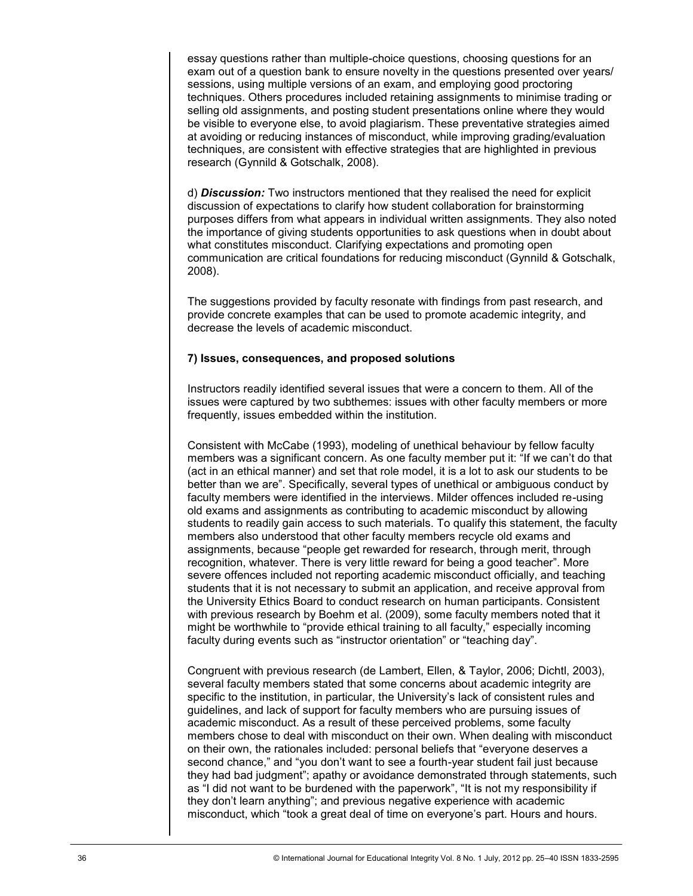essay questions rather than multiple-choice questions, choosing questions for an exam out of a question bank to ensure novelty in the questions presented over years/ sessions, using multiple versions of an exam, and employing good proctoring techniques. Others procedures included retaining assignments to minimise trading or selling old assignments, and posting student presentations online where they would be visible to everyone else, to avoid plagiarism. These preventative strategies aimed at avoiding or reducing instances of misconduct, while improving grading/evaluation techniques, are consistent with effective strategies that are highlighted in previous research (Gynnild & Gotschalk, 2008).

d) *Discussion:* Two instructors mentioned that they realised the need for explicit discussion of expectations to clarify how student collaboration for brainstorming purposes differs from what appears in individual written assignments. They also noted the importance of giving students opportunities to ask questions when in doubt about what constitutes misconduct. Clarifying expectations and promoting open communication are critical foundations for reducing misconduct (Gynnild & Gotschalk, 2008).

The suggestions provided by faculty resonate with findings from past research, and provide concrete examples that can be used to promote academic integrity, and decrease the levels of academic misconduct.

#### **7) Issues, consequences, and proposed solutions**

Instructors readily identified several issues that were a concern to them. All of the issues were captured by two subthemes: issues with other faculty members or more frequently, issues embedded within the institution.

Consistent with McCabe (1993), modeling of unethical behaviour by fellow faculty members was a significant concern. As one faculty member put it: "If we can"t do that (act in an ethical manner) and set that role model, it is a lot to ask our students to be better than we are". Specifically, several types of unethical or ambiguous conduct by faculty members were identified in the interviews. Milder offences included re-using old exams and assignments as contributing to academic misconduct by allowing students to readily gain access to such materials. To qualify this statement, the faculty members also understood that other faculty members recycle old exams and assignments, because "people get rewarded for research, through merit, through recognition, whatever. There is very little reward for being a good teacher". More severe offences included not reporting academic misconduct officially, and teaching students that it is not necessary to submit an application, and receive approval from the University Ethics Board to conduct research on human participants. Consistent with previous research by Boehm et al. (2009), some faculty members noted that it might be worthwhile to "provide ethical training to all faculty," especially incoming faculty during events such as "instructor orientation" or "teaching day".

Congruent with previous research (de Lambert, Ellen, & Taylor, 2006; Dichtl, 2003), several faculty members stated that some concerns about academic integrity are specific to the institution, in particular, the University's lack of consistent rules and guidelines, and lack of support for faculty members who are pursuing issues of academic misconduct. As a result of these perceived problems, some faculty members chose to deal with misconduct on their own. When dealing with misconduct on their own, the rationales included: personal beliefs that "everyone deserves a second chance," and "you don"t want to see a fourth-year student fail just because they had bad judgment"; apathy or avoidance demonstrated through statements, such as "I did not want to be burdened with the paperwork", "It is not my responsibility if they don"t learn anything"; and previous negative experience with academic misconduct, which "took a great deal of time on everyone"s part. Hours and hours.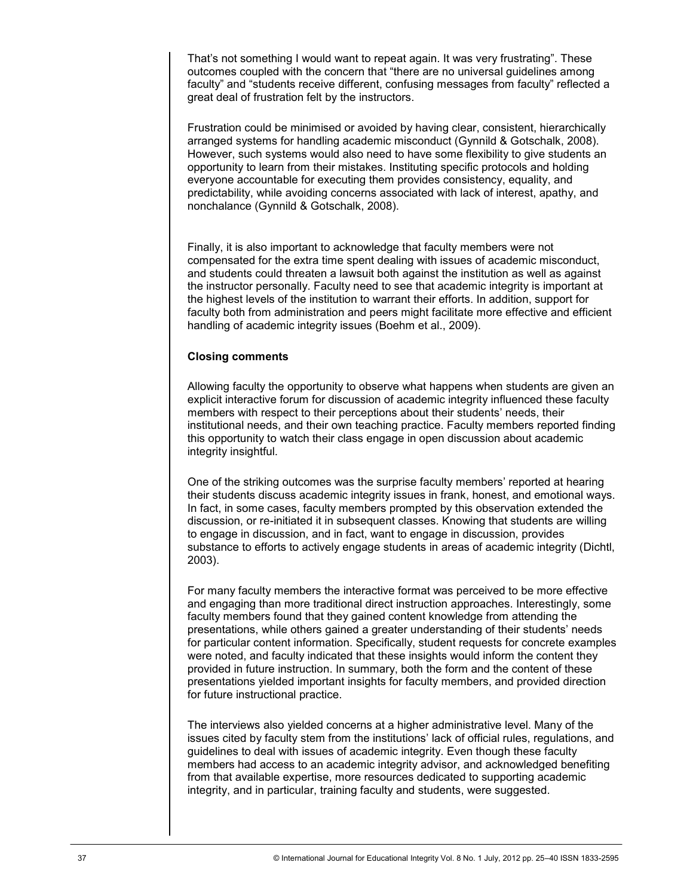That"s not something I would want to repeat again. It was very frustrating". These outcomes coupled with the concern that "there are no universal guidelines among faculty" and "students receive different, confusing messages from faculty" reflected a great deal of frustration felt by the instructors.

Frustration could be minimised or avoided by having clear, consistent, hierarchically arranged systems for handling academic misconduct (Gynnild & Gotschalk, 2008). However, such systems would also need to have some flexibility to give students an opportunity to learn from their mistakes. Instituting specific protocols and holding everyone accountable for executing them provides consistency, equality, and predictability, while avoiding concerns associated with lack of interest, apathy, and nonchalance (Gynnild & Gotschalk, 2008).

Finally, it is also important to acknowledge that faculty members were not compensated for the extra time spent dealing with issues of academic misconduct, and students could threaten a lawsuit both against the institution as well as against the instructor personally. Faculty need to see that academic integrity is important at the highest levels of the institution to warrant their efforts. In addition, support for faculty both from administration and peers might facilitate more effective and efficient handling of academic integrity issues (Boehm et al., 2009).

## **Closing comments**

Allowing faculty the opportunity to observe what happens when students are given an explicit interactive forum for discussion of academic integrity influenced these faculty members with respect to their perceptions about their students" needs, their institutional needs, and their own teaching practice. Faculty members reported finding this opportunity to watch their class engage in open discussion about academic integrity insightful.

One of the striking outcomes was the surprise faculty members" reported at hearing their students discuss academic integrity issues in frank, honest, and emotional ways. In fact, in some cases, faculty members prompted by this observation extended the discussion, or re-initiated it in subsequent classes. Knowing that students are willing to engage in discussion, and in fact, want to engage in discussion, provides substance to efforts to actively engage students in areas of academic integrity (Dichtl, 2003).

For many faculty members the interactive format was perceived to be more effective and engaging than more traditional direct instruction approaches. Interestingly, some faculty members found that they gained content knowledge from attending the presentations, while others gained a greater understanding of their students" needs for particular content information. Specifically, student requests for concrete examples were noted, and faculty indicated that these insights would inform the content they provided in future instruction. In summary, both the form and the content of these presentations yielded important insights for faculty members, and provided direction for future instructional practice.

The interviews also yielded concerns at a higher administrative level. Many of the issues cited by faculty stem from the institutions" lack of official rules, regulations, and guidelines to deal with issues of academic integrity. Even though these faculty members had access to an academic integrity advisor, and acknowledged benefiting from that available expertise, more resources dedicated to supporting academic integrity, and in particular, training faculty and students, were suggested.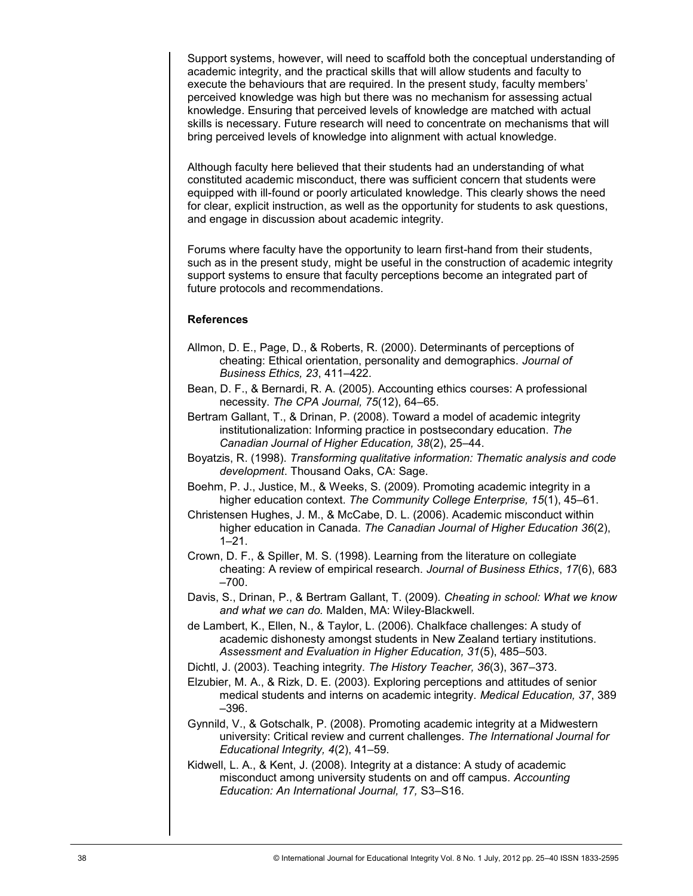Support systems, however, will need to scaffold both the conceptual understanding of academic integrity, and the practical skills that will allow students and faculty to execute the behaviours that are required. In the present study, faculty members" perceived knowledge was high but there was no mechanism for assessing actual knowledge. Ensuring that perceived levels of knowledge are matched with actual skills is necessary. Future research will need to concentrate on mechanisms that will bring perceived levels of knowledge into alignment with actual knowledge.

Although faculty here believed that their students had an understanding of what constituted academic misconduct, there was sufficient concern that students were equipped with ill-found or poorly articulated knowledge. This clearly shows the need for clear, explicit instruction, as well as the opportunity for students to ask questions, and engage in discussion about academic integrity.

Forums where faculty have the opportunity to learn first-hand from their students, such as in the present study, might be useful in the construction of academic integrity support systems to ensure that faculty perceptions become an integrated part of future protocols and recommendations.

#### **References**

- Allmon, D. E., Page, D., & Roberts, R. (2000). Determinants of perceptions of cheating: Ethical orientation, personality and demographics. *Journal of Business Ethics, 23*, 411–422.
- Bean, D. F., & Bernardi, R. A. (2005). Accounting ethics courses: A professional necessity. *The CPA Journal, 75*(12), 64–65.
- Bertram Gallant, T., & Drinan, P. (2008). Toward a model of academic integrity institutionalization: Informing practice in postsecondary education. *The Canadian Journal of Higher Education, 38*(2), 25–44.
- Boyatzis, R. (1998). *Transforming qualitative information: Thematic analysis and code development*. Thousand Oaks, CA: Sage.
- Boehm, P. J., Justice, M., & Weeks, S. (2009). Promoting academic integrity in a higher education context. *The Community College Enterprise, 15*(1), 45–61.
- Christensen Hughes, J. M., & McCabe, D. L. (2006). Academic misconduct within higher education in Canada. *The Canadian Journal of Higher Education 36*(2),  $1 - 21$ .
- Crown, D. F., & Spiller, M. S. (1998). Learning from the literature on collegiate cheating: A review of empirical research. *Journal of Business Ethics*, *17*(6), 683  $-700.$
- Davis, S., Drinan, P., & Bertram Gallant, T. (2009). *Cheating in school: What we know and what we can do.* Malden, MA: Wiley-Blackwell.
- de Lambert, K., Ellen, N., & Taylor, L. (2006). Chalkface challenges: A study of academic dishonesty amongst students in New Zealand tertiary institutions. *Assessment and Evaluation in Higher Education, 31*(5), 485–503.

Dichtl, J. (2003). Teaching integrity. *The History Teacher, 36*(3), 367–373.

- Elzubier, M. A., & Rizk, D. E. (2003). Exploring perceptions and attitudes of senior medical students and interns on academic integrity. *Medical Education, 37*, 389 –396.
- Gynnild, V., & Gotschalk, P. (2008). Promoting academic integrity at a Midwestern university: Critical review and current challenges. *The International Journal for Educational Integrity, 4*(2), 41–59.
- Kidwell, L. A., & Kent, J. (2008). Integrity at a distance: A study of academic misconduct among university students on and off campus. *Accounting Education: An International Journal, 17,* S3–S16.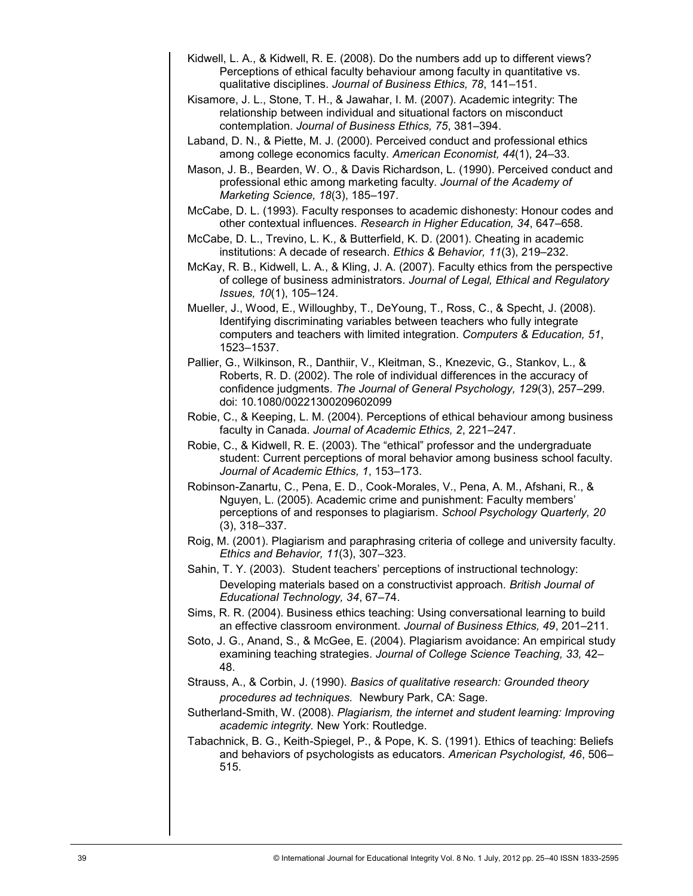- Kidwell, L. A., & Kidwell, R. E. (2008). Do the numbers add up to different views? Perceptions of ethical faculty behaviour among faculty in quantitative vs. qualitative disciplines. *Journal of Business Ethics, 78*, 141–151.
- Kisamore, J. L., Stone, T. H., & Jawahar, I. M. (2007). Academic integrity: The relationship between individual and situational factors on misconduct contemplation. *Journal of Business Ethics, 75*, 381–394.
- Laband, D. N., & Piette, M. J. (2000). Perceived conduct and professional ethics among college economics faculty. *American Economist, 44*(1), 24–33.
- Mason, J. B., Bearden, W. O., & Davis Richardson, L. (1990). Perceived conduct and professional ethic among marketing faculty. *Journal of the Academy of Marketing Science, 18*(3), 185–197.
- McCabe, D. L. (1993). Faculty responses to academic dishonesty: Honour codes and other contextual influences. *Research in Higher Education, 34*, 647–658.
- McCabe, D. L., Trevino, L. K., & Butterfield, K. D. (2001). Cheating in academic institutions: A decade of research. *Ethics & Behavior, 11*(3), 219–232.
- McKay, R. B., Kidwell, L. A., & Kling, J. A. (2007). Faculty ethics from the perspective of college of business administrators. *Journal of Legal, Ethical and Regulatory Issues, 10*(1), 105–124.
- Mueller, J., Wood, E., Willoughby, T., DeYoung, T., Ross, C., & Specht, J. (2008). Identifying discriminating variables between teachers who fully integrate computers and teachers with limited integration. *Computers & Education, 51*, 1523–1537.
- [Pallier,](http://www.tandfonline.com/action/doSearch?action=runSearch&type=advanced&result=true&prevSearch=%2Bauthorsfield%3A%28Pallier%2C+Gerry%29) G., Wilkinson, R., [Danthiir,](http://www.tandfonline.com/action/doSearch?action=runSearch&type=advanced&result=true&prevSearch=%2Bauthorsfield%3A%28Danthiir%2C+Vanessa%29) V., [Kleitman,](http://www.tandfonline.com/action/doSearch?action=runSearch&type=advanced&result=true&prevSearch=%2Bauthorsfield%3A%28Kleitman%2C+Sabina%29) S., Knezevic, G., [Stankov,](http://www.tandfonline.com/action/doSearch?action=runSearch&type=advanced&result=true&prevSearch=%2Bauthorsfield%3A%28Stankov%2C+Lazar%29) L., & [Roberts,](http://www.tandfonline.com/action/doSearch?action=runSearch&type=advanced&result=true&prevSearch=%2Bauthorsfield%3A%28Roberts%2C+Richard+D.%29) R. D. (2002). The role of individual differences in the accuracy of confidence judgments. *The Journal of General Psychology, 129*(3), 257–299. doi: 10.1080/00221300209602099
- Robie, C., & Keeping, L. M. (2004). Perceptions of ethical behaviour among business faculty in Canada. *Journal of Academic Ethics, 2*, 221–247.
- Robie, C., & Kidwell, R. E. (2003). The "ethical" professor and the undergraduate student: Current perceptions of moral behavior among business school faculty. *Journal of Academic Ethics, 1*, 153–173.
- Robinson-Zanartu, C., Pena, E. D., Cook-Morales, V., Pena, A. M., Afshani, R., & Nguyen, L. (2005). Academic crime and punishment: Faculty members" perceptions of and responses to plagiarism. *School Psychology Quarterly, 20* (3), 318–337.
- Roig, M. (2001). Plagiarism and paraphrasing criteria of college and university faculty. *Ethics and Behavior, 11*(3), 307–323.
- Sahin, T. Y. (2003). Student teachers' perceptions of instructional technology: Developing materials based on a constructivist approach. *British Journal of Educational Technology, 34*, 67–74.
- Sims, R. R. (2004). Business ethics teaching: Using conversational learning to build an effective classroom environment. *Journal of Business Ethics, 49*, 201–211.
- Soto, J. G., Anand, S., & McGee, E. (2004). Plagiarism avoidance: An empirical study examining teaching strategies. *Journal of College Science Teaching, 33,* 42– 48.
- Strauss, A., & Corbin, J. (1990). *Basics of qualitative research: Grounded theory procedures ad techniques.* Newbury Park, CA: Sage.
- Sutherland-Smith, W. (2008). *Plagiarism, the internet and student learning: Improving academic integrity.* New York: Routledge.
- Tabachnick, B. G., Keith-Spiegel, P., & Pope, K. S. (1991). Ethics of teaching: Beliefs and behaviors of psychologists as educators. *American Psychologist, 46*, 506– 515.